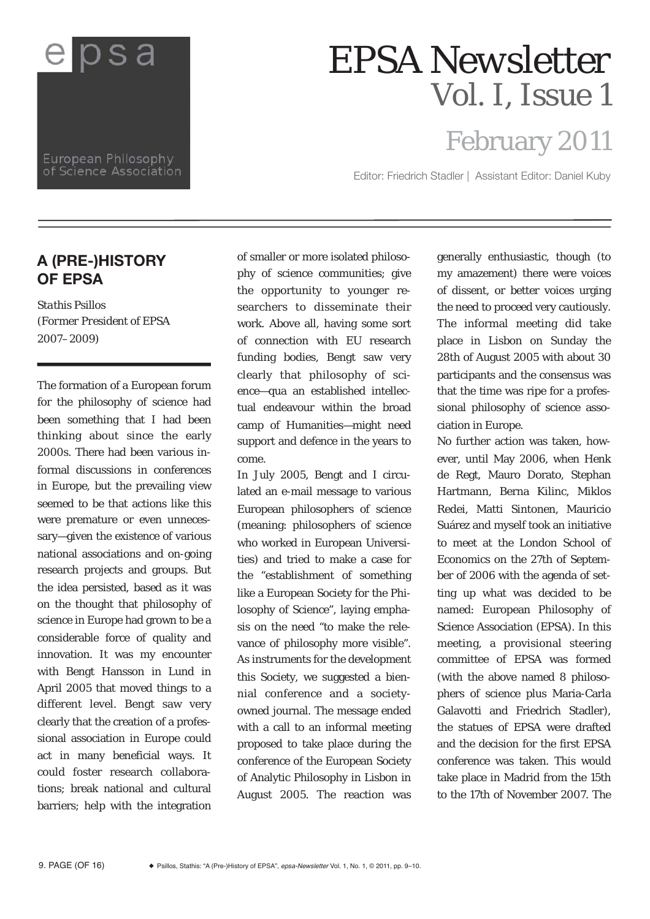

European Philosophy of Science Association

## *EPSA Newsletter Vol. I, Issue 1*

## February 2011

Editor: Friedrich Stadler | Assistant Editor: Daniel Kuby

## **A (PRE-)HISTORY OF EPSA**

*Stathis Psillos (Former President of EPSA 2007–2009)*

The formation of a European forum for the philosophy of science had been something that I had been thinking about since the early 2000s. There had been various informal discussions in conferences in Europe, but the prevailing view seemed to be that actions like this were premature or even unnecessary—given the existence of various national associations and on-going research projects and groups. But the idea persisted, based as it was on the thought that philosophy of science in Europe had grown to be a considerable force of quality and innovation. It was my encounter with Bengt Hansson in Lund in April 2005 that moved things to a different level. Bengt saw very clearly that the creation of a professional association in Europe could act in many beneficial ways. It could foster research collaborations; break national and cultural barriers; help with the integration

of smaller or more isolated philosophy of science communities; give the opportunity to younger researchers to disseminate their work. Above all, having some sort of connection with EU research funding bodies, Bengt saw very clearly that philosophy of science—qua an established intellectual endeavour within the broad camp of Humanities—might need support and defence in the years to come.

In July 2005, Bengt and I circulated an e-mail message to various European philosophers of science (meaning: philosophers of science who worked in European Universities) and tried to make a case for the "establishment of something like a European Society for the Philosophy of Science", laying emphasis on the need "to make the relevance of philosophy more visible". As instruments for the development this Society, we suggested a biennial conference and a societyowned journal. The message ended with a call to an informal meeting proposed to take place during the conference of the European Society of Analytic Philosophy in Lisbon in August 2005. The reaction was

generally enthusiastic, though (to my amazement) there were voices of dissent, or better voices urging the need to proceed very cautiously. The informal meeting did take place in Lisbon on Sunday the 28th of August 2005 with about 30 participants and the consensus was that the time was ripe for a professional philosophy of science association in Europe.

No further action was taken, however, until May 2006, when Henk de Regt, Mauro Dorato, Stephan Hartmann, Berna Kilinc, Miklos Redei, Matti Sintonen, Mauricio Suárez and myself took an initiative to meet at the London School of Economics on the 27th of September of 2006 with the agenda of setting up what was decided to be named: European Philosophy of Science Association (EPSA). In this meeting, a provisional steering committee of EPSA was formed (with the above named 8 philosophers of science plus Maria-Carla Galavotti and Friedrich Stadler), the statues of EPSA were drafted and the decision for the first EPSA conference was taken. This would take place in Madrid from the 15th to the 17th of November 2007. The